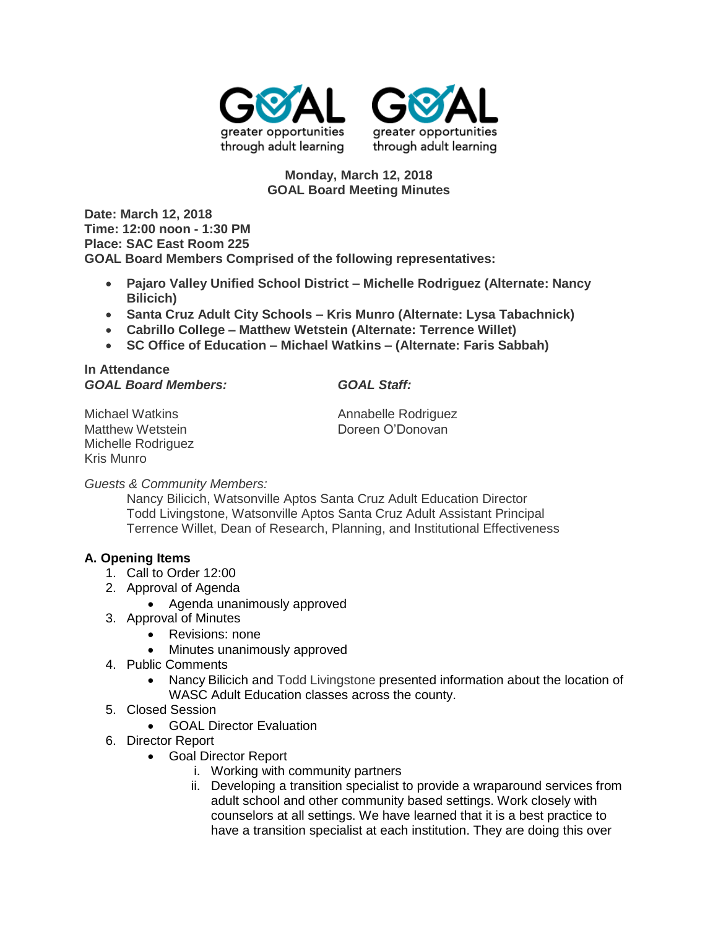



## **Monday, March 12, 2018 GOAL Board Meeting Minutes**

**Date: March 12, 2018 Time: 12:00 noon - 1:30 PM Place: SAC East Room 225 GOAL Board Members Comprised of the following representatives:**

- **Pajaro Valley Unified School District – Michelle Rodriguez (Alternate: Nancy Bilicich)**
- **Santa Cruz Adult City Schools – Kris Munro (Alternate: Lysa Tabachnick)**
- **Cabrillo College – Matthew Wetstein (Alternate: Terrence Willet)**
- **SC Office of Education – Michael Watkins – (Alternate: Faris Sabbah)**

**In Attendance** *GOAL Board Members: GOAL Staff:*

Michelle Rodriguez Kris Munro

Michael Watkins **Annabelle Rodriguez Annabelle Rodriguez** Matthew Wetstein **Doreen O'Donovan** 

*Guests & Community Members:*

Nancy Bilicich, Watsonville Aptos Santa Cruz Adult Education Director Todd Livingstone, Watsonville Aptos Santa Cruz Adult Assistant Principal Terrence Willet, Dean of Research, Planning, and Institutional Effectiveness

## **A. Opening Items**

- 1. Call to Order 12:00
- 2. Approval of Agenda
	- Agenda unanimously approved
- 3. Approval of Minutes
	- Revisions: none
	- Minutes unanimously approved
- 4. Public Comments
	- Nancy Bilicich and Todd Livingstone presented information about the location of WASC Adult Education classes across the county.
- 5. Closed Session
	- GOAL Director Evaluation
- 6. Director Report
	- Goal Director Report
		- i. Working with community partners
		- ii. Developing a transition specialist to provide a wraparound services from adult school and other community based settings. Work closely with counselors at all settings. We have learned that it is a best practice to have a transition specialist at each institution. They are doing this over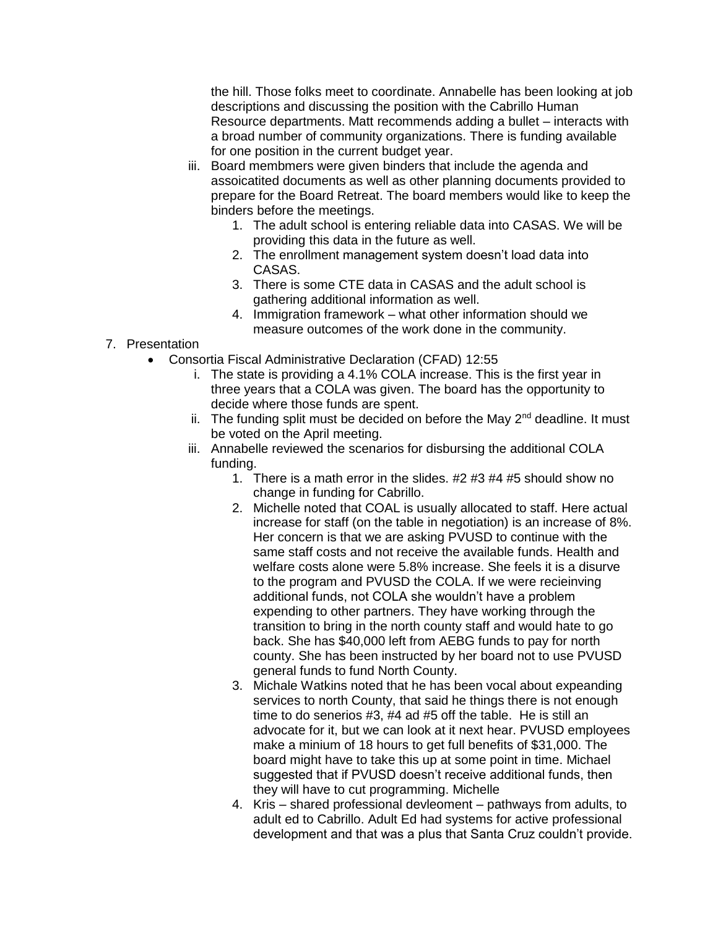the hill. Those folks meet to coordinate. Annabelle has been looking at job descriptions and discussing the position with the Cabrillo Human Resource departments. Matt recommends adding a bullet – interacts with a broad number of community organizations. There is funding available for one position in the current budget year.

- iii. Board membmers were given binders that include the agenda and assoicatited documents as well as other planning documents provided to prepare for the Board Retreat. The board members would like to keep the binders before the meetings.
	- 1. The adult school is entering reliable data into CASAS. We will be providing this data in the future as well.
	- 2. The enrollment management system doesn't load data into CASAS.
	- 3. There is some CTE data in CASAS and the adult school is gathering additional information as well.
	- 4. Immigration framework what other information should we measure outcomes of the work done in the community.
- 7. Presentation
	- Consortia Fiscal Administrative Declaration (CFAD) 12:55
		- i. The state is providing a 4.1% COLA increase. This is the first year in three years that a COLA was given. The board has the opportunity to decide where those funds are spent.
		- ii. The funding split must be decided on before the May  $2^{nd}$  deadline. It must be voted on the April meeting.
		- iii. Annabelle reviewed the scenarios for disbursing the additional COLA funding.
			- 1. There is a math error in the slides. #2 #3 #4 #5 should show no change in funding for Cabrillo.
			- 2. Michelle noted that COAL is usually allocated to staff. Here actual increase for staff (on the table in negotiation) is an increase of 8%. Her concern is that we are asking PVUSD to continue with the same staff costs and not receive the available funds. Health and welfare costs alone were 5.8% increase. She feels it is a disurve to the program and PVUSD the COLA. If we were recieinving additional funds, not COLA she wouldn't have a problem expending to other partners. They have working through the transition to bring in the north county staff and would hate to go back. She has \$40,000 left from AEBG funds to pay for north county. She has been instructed by her board not to use PVUSD general funds to fund North County.
			- 3. Michale Watkins noted that he has been vocal about expeanding services to north County, that said he things there is not enough time to do senerios #3, #4 ad #5 off the table. He is still an advocate for it, but we can look at it next hear. PVUSD employees make a minium of 18 hours to get full benefits of \$31,000. The board might have to take this up at some point in time. Michael suggested that if PVUSD doesn't receive additional funds, then they will have to cut programming. Michelle
			- 4. Kris shared professional devleoment pathways from adults, to adult ed to Cabrillo. Adult Ed had systems for active professional development and that was a plus that Santa Cruz couldn't provide.